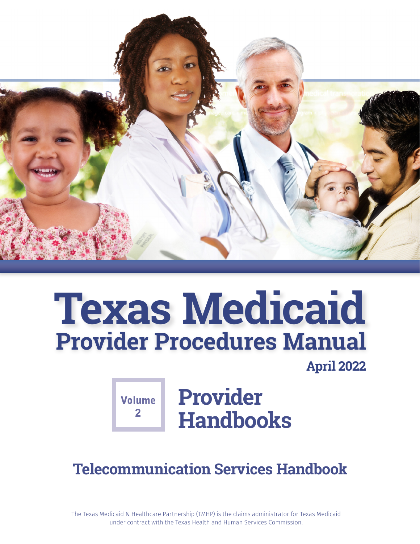

# **Texas Medicaid Provider Procedures Manual**

**April 2022**

 $\mathbf{P}$ 

**Volume** Provider **Handbooks**

**Telecommunication Services Handbook**

The Texas Medicaid & Healthcare Partnership (TMHP) is the claims administrator for Texas Medicaid under contract with the Texas Health and Human Services Commission.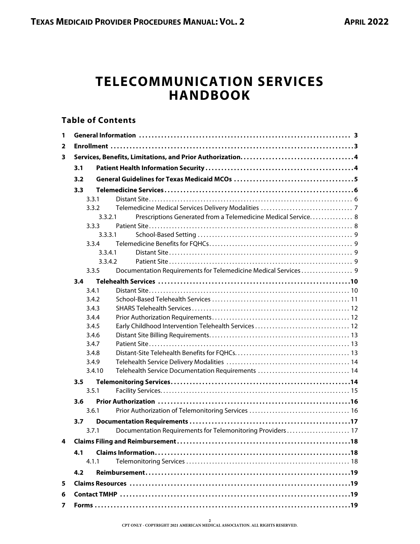## **TELECOMMUNICATION SERVICES HANDBOOK**

## **Table of Contents**

| 1 |                        |                                                                |
|---|------------------------|----------------------------------------------------------------|
| 2 |                        |                                                                |
| 3 |                        |                                                                |
|   | 3.1                    |                                                                |
|   | 3.2                    |                                                                |
|   | 3.3                    |                                                                |
|   | 3.3.1                  |                                                                |
|   | 3.3.2                  |                                                                |
|   | 3.3.2.1                | Prescriptions Generated from a Telemedicine Medical Service. 8 |
|   | 3.3.3                  |                                                                |
|   | 3.3.3.1                |                                                                |
|   | 3.3.4                  |                                                                |
|   | 3.3.4.1                |                                                                |
|   | 3.3.4.2                |                                                                |
|   | 3.3.5                  | Documentation Requirements for Telemedicine Medical Services 9 |
|   | 3.4                    |                                                                |
|   | 3.4.1                  |                                                                |
|   | 3.4.2                  |                                                                |
|   | 3.4.3                  |                                                                |
|   | 3.4.4                  |                                                                |
|   | 3.4.5                  |                                                                |
|   | 3.4.6                  |                                                                |
|   | 3.4.7                  |                                                                |
|   | 3.4.8<br>3.4.9         |                                                                |
|   | 3.4.10                 | Telehealth Service Documentation Requirements  14              |
|   |                        |                                                                |
|   | $3.5^{\circ}$<br>3.5.1 |                                                                |
|   |                        |                                                                |
|   | 3.6                    |                                                                |
|   | 3.6.1                  |                                                                |
|   | 3.7                    |                                                                |
|   | 3.7.1                  | Documentation Requirements for Telemonitoring Providers 17     |
| 4 |                        |                                                                |
|   | 4.1                    |                                                                |
|   | 4.1.1                  |                                                                |
|   | 4.2                    |                                                                |
| 5 |                        |                                                                |
| 6 |                        |                                                                |
| 7 |                        |                                                                |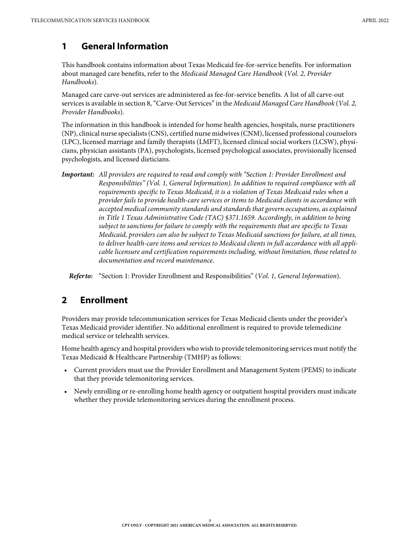## <span id="page-2-0"></span>**1 General Information**

This handbook contains information about Texas Medicaid fee-for-service benefits. For information about managed care benefits, refer to the Medicaid Managed Care Handbook (Vol. 2, Provider Handbooks).

Managed care carve-out services are administered as fee-for-service benefits. A list of all carve-out services is available in section 8, "Carve-Out Services" in the Medicaid Managed Care Handbook (Vol. 2, Provider Handbooks).

The information in this handbook is intended for home health agencies, hospitals, nurse practitioners (NP), clinical nurse specialists (CNS), certified nurse midwives (CNM), licensed professional counselors (LPC), licensed marriage and family therapists (LMFT), licensed clinical social workers (LCSW), physicians, physician assistants (PA), psychologists, licensed psychological associates, provisionally licensed psychologists, and licensed dieticians.

*Important:* All providers are required to read and comply with "Section 1: Provider Enrollment and Responsibilities" (Vol. 1, General Information). In addition to required compliance with all requirements specific to Texas Medicaid, it is a violation of Texas Medicaid rules when a provider fails to provide health-care services or items to Medicaid clients in accordance with accepted medical community standards and standards that govern occupations, as explained in Title 1 Texas Administrative Code (TAC) §371.1659. Accordingly, in addition to being subject to sanctions for failure to comply with the requirements that are specific to Texas Medicaid, providers can also be subject to Texas Medicaid sanctions for failure, at all times, to deliver health-care items and services to Medicaid clients in full accordance with all applicable licensure and certification requirements including, without limitation, those related to documentation and record maintenance.

*Refer to:* "Section 1: Provider Enrollment and Responsibilities" (Vol. 1, General Information).

## <span id="page-2-1"></span>**2 Enrollment**

Providers may provide telecommunication services for Texas Medicaid clients under the provider's Texas Medicaid provider identifier. No additional enrollment is required to provide telemedicine medical service or telehealth services.

Home health agency and hospital providers who wish to provide telemonitoring services must notify the Texas Medicaid & Healthcare Partnership (TMHP) as follows:

- Current providers must use the Provider Enrollment and Management System (PEMS) to indicate that they provide telemonitoring services.
- Newly enrolling or re-enrolling home health agency or outpatient hospital providers must indicate whether they provide telemonitoring services during the enrollment process.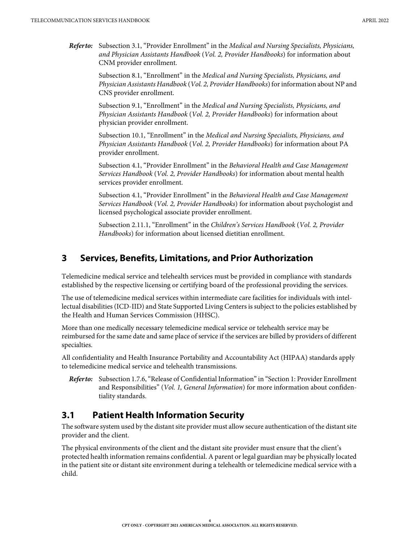*Refer to:* Subsection 3.1, "Provider Enrollment" in the Medical and Nursing Specialists, Physicians, and Physician Assistants Handbook (Vol. 2, Provider Handbooks) for information about CNM provider enrollment.

> Subsection 8.1, "Enrollment" in the Medical and Nursing Specialists, Physicians, and Physician Assistants Handbook (Vol. 2, Provider Handbooks) for information about NP and CNS provider enrollment.

Subsection 9.1, "Enrollment" in the Medical and Nursing Specialists, Physicians, and Physician Assistants Handbook (Vol. 2, Provider Handbooks) for information about physician provider enrollment.

Subsection 10.1, "Enrollment" in the Medical and Nursing Specialists, Physicians, and Physician Assistants Handbook (Vol. 2, Provider Handbooks) for information about PA provider enrollment.

Subsection 4.1, "Provider Enrollment" in the Behavioral Health and Case Management Services Handbook (Vol. 2, Provider Handbooks) for information about mental health services provider enrollment.

Subsection 4.1, "Provider Enrollment" in the Behavioral Health and Case Management Services Handbook (Vol. 2, Provider Handbooks) for information about psychologist and licensed psychological associate provider enrollment.

Subsection 2.11.1, "Enrollment" in the Children's Services Handbook (Vol. 2, Provider Handbooks) for information about licensed dietitian enrollment.

#### <span id="page-3-0"></span>**3 Services, Benefits, Limitations, and Prior Authorization**

Telemedicine medical service and telehealth services must be provided in compliance with standards established by the respective licensing or certifying board of the professional providing the services.

The use of telemedicine medical services within intermediate care facilities for individuals with intellectual disabilities (ICD-IID) and State Supported Living Centers is subject to the policies established by the Health and Human Services Commission (HHSC).

More than one medically necessary telemedicine medical service or telehealth service may be reimbursed for the same date and same place of service if the services are billed by providers of different specialties.

All confidentiality and Health Insurance Portability and Accountability Act (HIPAA) standards apply to telemedicine medical service and telehealth transmissions.

*Refer to:* Subsection 1.7.6, "Release of Confidential Information" in "Section 1: Provider Enrollment and Responsibilities" (Vol. 1, General Information) for more information about confidentiality standards.

## <span id="page-3-1"></span>**3.1 Patient Health Information Security**

The software system used by the distant site provider must allow secure authentication of the distant site provider and the client.

The physical environments of the client and the distant site provider must ensure that the client's protected health information remains confidential. A parent or legal guardian may be physically located in the patient site or distant site environment during a telehealth or telemedicine medical service with a child.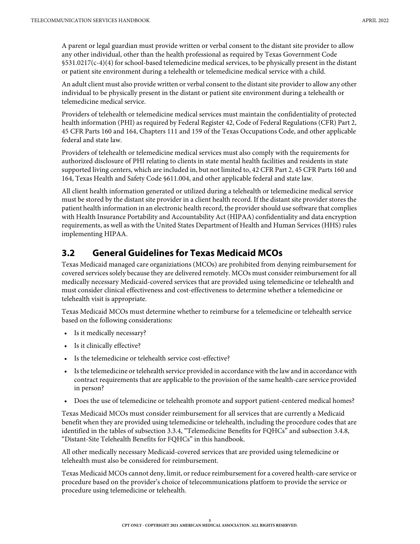A parent or legal guardian must provide written or verbal consent to the distant site provider to allow any other individual, other than the health professional as required by Texas Government Code §531.0217(c-4)(4) for school-based telemedicine medical services, to be physically present in the distant or patient site environment during a telehealth or telemedicine medical service with a child.

An adult client must also provide written or verbal consent to the distant site provider to allow any other individual to be physically present in the distant or patient site environment during a telehealth or telemedicine medical service.

Providers of telehealth or telemedicine medical services must maintain the confidentiality of protected health information (PHI) as required by Federal Register 42, Code of Federal Regulations (CFR) Part 2, 45 CFR Parts 160 and 164, Chapters 111 and 159 of the Texas Occupations Code, and other applicable federal and state law.

Providers of telehealth or telemedicine medical services must also comply with the requirements for authorized disclosure of PHI relating to clients in state mental health facilities and residents in state supported living centers, which are included in, but not limited to, 42 CFR Part 2, 45 CFR Parts 160 and 164, Texas Health and Safety Code §611.004, and other applicable federal and state law.

All client health information generated or utilized during a telehealth or telemedicine medical service must be stored by the distant site provider in a client health record. If the distant site provider stores the patient health information in an electronic health record, the provider should use software that complies with Health Insurance Portability and Accountability Act (HIPAA) confidentiality and data encryption requirements, as well as with the United States Department of Health and Human Services (HHS) rules implementing HIPAA.

## <span id="page-4-0"></span>**3.2 General Guidelines for Texas Medicaid MCOs**

Texas Medicaid managed care organiziations (MCOs) are prohibited from denying reimbursement for covered services solely because they are delivered remotely. MCOs must consider reimbursement for all medically necessary Medicaid-covered services that are provided using telemedicine or telehealth and must consider clinical effectiveness and cost-effectiveness to determine whether a telemedicine or telehealth visit is appropriate.

Texas Medicaid MCOs must determine whether to reimburse for a telemedicine or telehealth service based on the following considerations:

- Is it medically necessary?
- Is it clinically effective?
- Is the telemedicine or telehealth service cost-effective?
- Is the telemedicine or telehealth service provided in accordance with the law and in accordance with contract requirements that are applicable to the provision of the same health-care service provided in person?
- Does the use of telemedicine or telehealth promote and support patient-centered medical homes?

Texas Medicaid MCOs must consider reimbursement for all services that are currently a Medicaid benefit when they are provided using telemedicine or telehealth, including the procedure codes that are identified in the tables of [subsection 3.3.4, "Telemedicine Benefits for FQHCs"](#page-8-1) and [subsection 3.4.8,](#page-12-2)  ["Distant-Site Telehealth Benefits for FQHCs" in this handbook.](#page-12-2)

All other medically necessary Medicaid-covered services that are provided using telemedicine or telehealth must also be considered for reimbursement.

Texas Medicaid MCOs cannot deny, limit, or reduce reimbursement for a covered health-care service or procedure based on the provider's choice of telecommunications platform to provide the service or procedure using telemedicine or telehealth.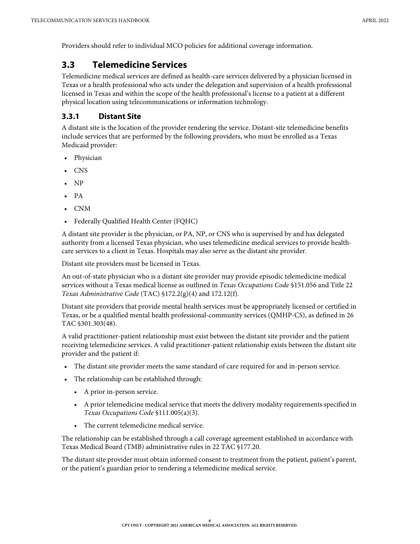Providers should refer to individual MCO policies for additional coverage information.

## <span id="page-5-0"></span>**3.3 Telemedicine Services**

Telemedicine medical services are defined as health-care services delivered by a physician licensed in Texas or a health professional who acts under the delegation and supervision of a health professional licensed in Texas and within the scope of the health professional's license to a patient at a different physical location using telecommunications or information technology.

#### <span id="page-5-1"></span>**3.3.1 Distant Site**

A distant site is the location of the provider rendering the service. Distant-site telemedicine benefits include services that are performed by the following providers, who must be enrolled as a Texas Medicaid provider:

- Physician
- CNS
- NP
- PA
- CNM
- Federally Qualified Health Center (FQHC)

A distant site provider is the physician, or PA, NP, or CNS who is supervised by and has delegated authority from a licensed Texas physician, who uses telemedicine medical services to provide healthcare services to a client in Texas. Hospitals may also serve as the distant site provider.

Distant site providers must be licensed in Texas.

An out-of-state physician who is a distant site provider may provide episodic telemedicine medical services without a Texas medical license as outlined in Texas Occupations Code §151.056 and Title 22 Texas Administrative Code (TAC) §172.2(g)(4) and 172.12(f).

Distant site providers that provide mental health services must be appropriately licensed or certified in Texas, or be a qualified mental health professional-community services (QMHP-CS), as defined in 26 TAC §301.303(48).

A valid practitioner-patient relationship must exist between the distant site provider and the patient receiving telemedicine services. A valid practitioner-patient relationship exists between the distant site provider and the patient if:

- The distant site provider meets the same standard of care required for and in-person service.
- The relationship can be established through:
	- A prior in-person service.
	- A prior telemedicine medical service that meets the delivery modality requirements specified in Texas Occupations Code §111.005(a)(3).
	- The current telemedicine medical service.

The relationship can be established through a call coverage agreement established in accordance with Texas Medical Board (TMB) administrative rules in 22 TAC §177.20.

The distant site provider must obtain informed consent to treatment from the patient, patient's parent, or the patient's guardian prior to rendering a telemedicine medical service.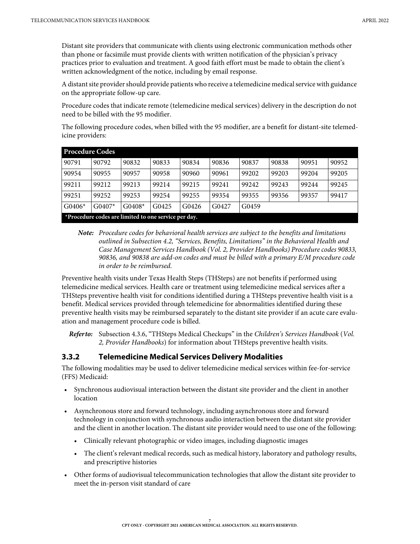Distant site providers that communicate with clients using electronic communication methods other than phone or facsimile must provide clients with written notification of the physician's privacy practices prior to evaluation and treatment. A good faith effort must be made to obtain the client's written acknowledgment of the notice, including by email response.

A distant site provider should provide patients who receive a telemedicine medical service with guidance on the appropriate follow-up care.

Procedure codes that indicate remote (telemedicine medical services) delivery in the description do not need to be billed with the 95 modifier.

The following procedure codes, when billed with the 95 modifier, are a benefit for distant-site telemedicine providers:

| <b>Procedure Codes</b> |                                                      |          |       |       |       |       |       |       |       |
|------------------------|------------------------------------------------------|----------|-------|-------|-------|-------|-------|-------|-------|
| 90791                  | 90792                                                | 90832    | 90833 | 90834 | 90836 | 90837 | 90838 | 90951 | 90952 |
| 90954                  | 90955                                                | 90957    | 90958 | 90960 | 90961 | 99202 | 99203 | 99204 | 99205 |
| 99211                  | 99212                                                | 99213    | 99214 | 99215 | 99241 | 99242 | 99243 | 99244 | 99245 |
| 99251                  | 99252                                                | 99253    | 99254 | 99255 | 99354 | 99355 | 99356 | 99357 | 99417 |
| $G0406*$               | $G0407*$                                             | $G0408*$ | G0425 | G0426 | G0427 | G0459 |       |       |       |
|                        | *Procedure codes are limited to one service per day. |          |       |       |       |       |       |       |       |

*Note:* Procedure codes for behavioral health services are subject to the benefits and limitations outlined in Subsection 4.2, "Services, Benefits, Limitations" in the Behavioral Health and Case Management Services Handbook (Vol. 2, Provider Handbooks) Procedure codes 90833, 90836, and 90838 are add-on codes and must be billed with a primary E/M procedure code in order to be reimbursed.

Preventive health visits under Texas Health Steps (THSteps) are not benefits if performed using telemedicine medical services. Health care or treatment using telemedicine medical services after a THSteps preventive health visit for conditions identified during a THSteps preventive health visit is a benefit. Medical services provided through telemedicine for abnormalities identified during these preventive health visits may be reimbursed separately to the distant site provider if an acute care evaluation and management procedure code is billed.

*Refer to:* Subsection 4.3.6, "THSteps Medical Checkups" in the Children's Services Handbook (Vol. 2, Provider Handbooks) for information about THSteps preventive health visits.

#### <span id="page-6-0"></span>**3.3.2 Telemedicine Medical Services Delivery Modalities**

The following modalities may be used to deliver telemedicine medical services within fee-for-service (FFS) Medicaid:

- Synchronous audiovisual interaction between the distant site provider and the client in another location
- Asynchronous store and forward technology, including asynchronous store and forward technology in conjunction with synchronous audio interaction between the distant site provider and the client in another location. The distant site provider would need to use one of the following:
	- Clinically relevant photographic or video images, including diagnostic images
	- The client's relevant medical records, such as medical history, laboratory and pathology results, and prescriptive histories
- Other forms of audiovisual telecommunication technologies that allow the distant site provider to meet the in-person visit standard of care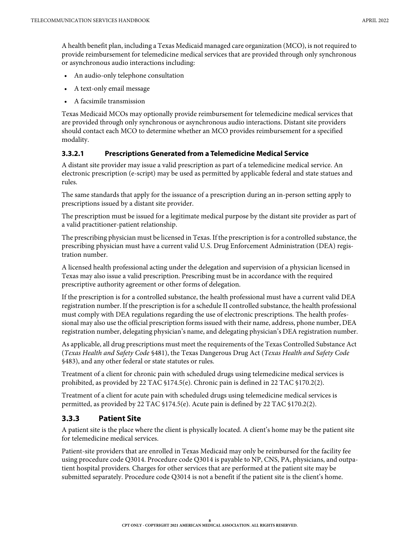A health benefit plan, including a Texas Medicaid managed care organization (MCO), is not required to provide reimbursement for telemedicine medical services that are provided through only synchronous or asynchronous audio interactions including:

- An audio-only telephone consultation
- A text-only email message
- A facsimile transmission

Texas Medicaid MCOs may optionally provide reimbursement for telemedicine medical services that are provided through only synchronous or asynchronous audio interactions. Distant site providers should contact each MCO to determine whether an MCO provides reimbursement for a specified modality.

#### <span id="page-7-0"></span>**3.3.2.1 Prescriptions Generated from a Telemedicine Medical Service**

A distant site provider may issue a valid prescription as part of a telemedicine medical service. An electronic prescription (e-script) may be used as permitted by applicable federal and state statues and rules.

The same standards that apply for the issuance of a prescription during an in-person setting apply to prescriptions issued by a distant site provider.

The prescription must be issued for a legitimate medical purpose by the distant site provider as part of a valid practitioner-patient relationship.

The prescribing physician must be licensed in Texas. If the prescription is for a controlled substance, the prescribing physician must have a current valid U.S. Drug Enforcement Administration (DEA) registration number.

A licensed health professional acting under the delegation and supervision of a physician licensed in Texas may also issue a valid prescription. Prescribing must be in accordance with the required prescriptive authority agreement or other forms of delegation.

If the prescription is for a controlled substance, the health professional must have a current valid DEA registration number. If the prescription is for a schedule II controlled substance, the health professional must comply with DEA regulations regarding the use of electronic prescriptions. The health professional may also use the official prescription forms issued with their name, address, phone number, DEA registration number, delegating physician's name, and delegating physician's DEA registration number.

As applicable, all drug prescriptions must meet the requirements of the Texas Controlled Substance Act (Texas Health and Safety Code §481), the Texas Dangerous Drug Act (Texas Health and Safety Code §483), and any other federal or state statutes or rules.

Treatment of a client for chronic pain with scheduled drugs using telemedicine medical services is prohibited, as provided by 22 TAC §174.5(e). Chronic pain is defined in 22 TAC §170.2(2).

Treatment of a client for acute pain with scheduled drugs using telemedicine medical services is permitted, as provided by 22 TAC §174.5(e). Acute pain is defined by 22 TAC §170.2(2).

#### <span id="page-7-1"></span>**3.3.3 Patient Site**

A patient site is the place where the client is physically located. A client's home may be the patient site for telemedicine medical services.

Patient-site providers that are enrolled in Texas Medicaid may only be reimbursed for the facility fee using procedure code Q3014. Procedure code Q3014 is payable to NP, CNS, PA, physicians, and outpatient hospital providers. Charges for other services that are performed at the patient site may be submitted separately. Procedure code Q3014 is not a benefit if the patient site is the client's home.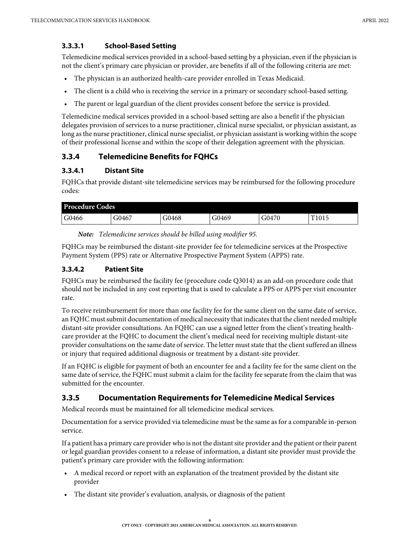#### <span id="page-8-0"></span>**3.3.3.1 School-Based Setting**

Telemedicine medical services provided in a school-based setting by a physician, even if the physician is not the client's primary care physician or provider, are benefits if all of the following criteria are met:

- The physician is an authorized health-care provider enrolled in Texas Medicaid.
- The client is a child who is receiving the service in a primary or secondary school-based setting.
- The parent or legal guardian of the client provides consent before the service is provided.

Telemedicine medical services provided in a school-based setting are also a benefit if the physician delegates provision of services to a nurse practitioner, clinical nurse specialist, or physician assistant, as long as the nurse practitioner, clinical nurse specialist, or physician assistant is working within the scope of their professional license and within the scope of their delegation agreement with the physician.

#### <span id="page-8-1"></span>**3.3.4 Telemedicine Benefits for FQHCs**

#### <span id="page-8-2"></span>**3.3.4.1 Distant Site**

FQHCs that provide distant-site telemedicine services may be reimbursed for the following procedure codes:

| <b>Procedure Codes</b> |       |       |       |       |       |
|------------------------|-------|-------|-------|-------|-------|
| G0466                  | G0467 | G0468 | G0469 | G0470 | T1015 |

*Note:* Telemedicine services should be billed using modifier 95.

FQHCs may be reimbursed the distant-site provider fee for telemedicine services at the Prospective Payment System (PPS) rate or Alternative Prospective Payment System (APPS) rate.

#### <span id="page-8-3"></span>**3.3.4.2 Patient Site**

FQHCs may be reimbursed the facility fee (procedure code Q3014) as an add-on procedure code that should not be included in any cost reporting that is used to calculate a PPS or APPS per visit encounter rate.

To receive reimbursement for more than one facility fee for the same client on the same date of service, an FQHC must submit documentation of medical necessity that indicates that the client needed multiple distant-site provider consultations. An FQHC can use a signed letter from the client's treating healthcare provider at the FQHC to document the client's medical need for receiving multiple distant-site provider consultations on the same date of service. The letter must state that the client suffered an illness or injury that required additional diagnosis or treatment by a distant-site provider.

If an FQHC is eligible for payment of both an encounter fee and a facility fee for the same client on the same date of service, the FQHC must submit a claim for the facility fee separate from the claim that was submitted for the encounter.

#### <span id="page-8-4"></span>**3.3.5 Documentation Requirements for Telemedicine Medical Services**

Medical records must be maintained for all telemedicine medical services.

Documentation for a service provided via telemedicine must be the same as for a comparable in-person service.

If a patient has a primary care provider who is not the distant site provider and the patient or their parent or legal guardian provides consent to a release of information, a distant site provider must provide the patient's primary care provider with the following information:

- A medical record or report with an explanation of the treatment provided by the distant site provider
- The distant site provider's evaluation, analysis, or diagnosis of the patient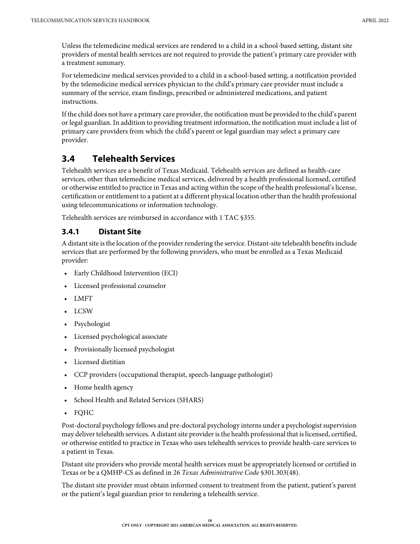Unless the telemedicine medical services are rendered to a child in a school-based setting, distant site providers of mental health services are not required to provide the patient's primary care provider with a treatment summary.

For telemedicine medical services provided to a child in a school-based setting, a notification provided by the telemedicine medical services physician to the child's primary care provider must include a summary of the service, exam findings, prescribed or administered medications, and patient instructions.

If the child does not have a primary care provider, the notification must be provided to the child's parent or legal guardian. In addition to providing treatment information, the notification must include a list of primary care providers from which the child's parent or legal guardian may select a primary care provider.

## <span id="page-9-0"></span>**3.4 Telehealth Services**

Telehealth services are a benefit of Texas Medicaid. Telehealth services are defined as health-care services, other than telemedicine medical services, delivered by a health professional licensed, certified or otherwise entitled to practice in Texas and acting within the scope of the health professional's license, certification or entitlement to a patient at a different physical location other than the health professional using telecommunications or information technology.

Telehealth services are reimbursed in accordance with 1 TAC §355.

#### <span id="page-9-1"></span>**3.4.1 Distant Site**

A distant site is the location of the provider rendering the service. Distant-site telehealth benefits include services that are performed by the following providers, who must be enrolled as a Texas Medicaid provider:

- Early Childhood Intervention (ECI)
- Licensed professional counselor
- LMFT
- LCSW
- Psychologist
- Licensed psychological associate
- Provisionally licensed psychologist
- Licensed dietitian
- CCP providers (occupational therapist, speech-language pathologist)
- Home health agency
- School Health and Related Services (SHARS)
- FQHC

Post-doctoral psychology fellows and pre-doctoral psychology interns under a psychologist supervision may deliver telehealth services. A distant site provider is the health professional that is licensed, certified, or otherwise entitled to practice in Texas who uses telehealth services to provide health-care services to a patient in Texas.

Distant site providers who provide mental health services must be appropriately licensed or certified in Texas or be a QMHP-CS as defined in 26 Texas Administrative Code §301.303(48).

The distant site provider must obtain informed consent to treatment from the patient, patient's parent or the patient's legal guardian prior to rendering a telehealth service.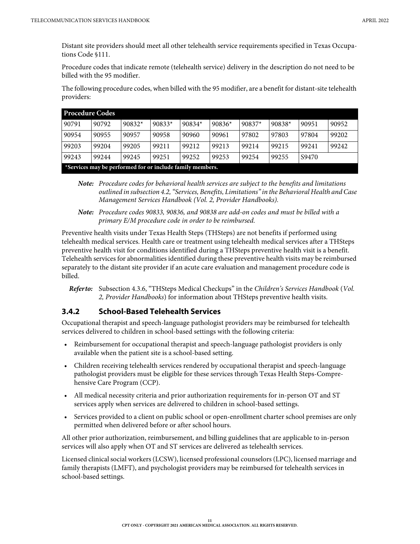Distant site providers should meet all other telehealth service requirements specified in Texas Occupations Code §111.

Procedure codes that indicate remote (telehealth service) delivery in the description do not need to be billed with the 95 modifier.

The following procedure codes, when billed with the 95 modifier, are a benefit for distant-site telehealth providers:

|       | <b>Procedure Codes</b>                                    |          |          |          |          |          |          |       |       |
|-------|-----------------------------------------------------------|----------|----------|----------|----------|----------|----------|-------|-------|
| 90791 | 90792                                                     | $90832*$ | $90833*$ | $90834*$ | $90836*$ | $90837*$ | $90838*$ | 90951 | 90952 |
| 90954 | 90955                                                     | 90957    | 90958    | 90960    | 90961    | 97802    | 97803    | 97804 | 99202 |
| 99203 | 99204                                                     | 99205    | 99211    | 99212    | 99213    | 99214    | 99215    | 99241 | 99242 |
| 99243 | 99244                                                     | 99245    | 99251    | 99252    | 99253    | 99254    | 99255    | S9470 |       |
|       | *Services may be performed for or include family members. |          |          |          |          |          |          |       |       |

*Note:* Procedure codes for behavioral health services are subject to the benefits and limitations outlined in subsection 4.2, "Services, Benefits, Limitations" in the Behavioral Health and Case Management Services Handbook (Vol. 2, Provider Handbooks).

*Note:* Procedure codes 90833, 90836, and 90838 are add-on codes and must be billed with a primary E/M procedure code in order to be reimbursed.

Preventive health visits under Texas Health Steps (THSteps) are not benefits if performed using telehealth medical services. Health care or treatment using telehealth medical services after a THSteps preventive health visit for conditions identified during a THSteps preventive health visit is a benefit. Telehealth services for abnormalities identified during these preventive health visits may be reimbursed separately to the distant site provider if an acute care evaluation and management procedure code is billed.

*Refer to:* Subsection 4.3.6, "THSteps Medical Checkups" in the Children's Services Handbook (Vol. 2, Provider Handbooks) for information about THSteps preventive health visits.

#### <span id="page-10-0"></span>**3.4.2 School-Based Telehealth Services**

Occupational therapist and speech-language pathologist providers may be reimbursed for telehealth services delivered to children in school-based settings with the following criteria:

- Reimbursement for occupational therapist and speech-language pathologist providers is only available when the patient site is a school-based setting.
- Children receiving telehealth services rendered by occupational therapist and speech-language pathologist providers must be eligible for these services through Texas Health Steps-Comprehensive Care Program (CCP).
- All medical necessity criteria and prior authorization requirements for in-person OT and ST services apply when services are delivered to children in school-based settings.
- Services provided to a client on public school or open-enrollment charter school premises are only permitted when delivered before or after school hours.

All other prior authorization, reimbursement, and billing guidelines that are applicable to in-person services will also apply when OT and ST services are delivered as telehealth services.

Licensed clinical social workers (LCSW), licensed professional counselors (LPC), licensed marriage and family therapists (LMFT), and psychologist providers may be reimbursed for telehealth services in school-based settings.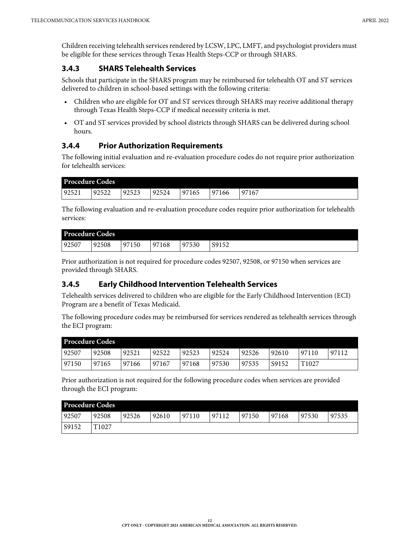Children receiving telehealth services rendered by LCSW, LPC, LMFT, and psychologist providers must be eligible for these services through Texas Health Steps-CCP or through SHARS.

#### <span id="page-11-0"></span>**3.4.3 SHARS Telehealth Services**

Schools that participate in the SHARS program may be reimbursed for telehealth OT and ST services delivered to children in school-based settings with the following criteria:

- Children who are eligible for OT and ST services through SHARS may receive additional therapy through Texas Health Steps-CCP if medical necessity criteria is met.
- OT and ST services provided by school districts through SHARS can be delivered during school hours.

#### <span id="page-11-1"></span>**3.4.4 Prior Authorization Requirements**

The following initial evaluation and re-evaluation procedure codes do not require prior authorization for telehealth services:

| <b>Procedure Codes</b> |       |       |       |       |       |              |
|------------------------|-------|-------|-------|-------|-------|--------------|
| 192521                 | 92522 | 92523 | 92524 | 97165 | 97166 | 167<br>$+97$ |

The following evaluation and re-evaluation procedure codes require prior authorization for telehealth services:

| <b>Procedure Codes</b> |       |            |       |            |                         |
|------------------------|-------|------------|-------|------------|-------------------------|
| 92507                  | 92508 | 150<br>Q71 | 97168 | 97530<br>ч | Q <sub>1</sub><br>J71JZ |

Prior authorization is not required for procedure codes 92507, 92508, or 97150 when services are provided through SHARS.

#### <span id="page-11-2"></span>**3.4.5 Early Childhood Intervention Telehealth Services**

Telehealth services delivered to children who are eligible for the Early Childhood Intervention (ECI) Program are a benefit of Texas Medicaid.

The following procedure codes may be reimbursed for services rendered as telehealth services through the ECI program:

| <b>Procedure Codes</b> |       |       |       |       |       |       |       |                   |       |
|------------------------|-------|-------|-------|-------|-------|-------|-------|-------------------|-------|
| 92507                  | 92508 | 92521 | 92522 | 92523 | 92524 | 92526 | 92610 | 97110             | 97112 |
| 97150                  | 97165 | 97166 | 97167 | 97168 | 97530 | 97535 | S9152 | T <sub>1027</sub> |       |

Prior authorization is not required for the following procedure codes when services are provided through the ECI program:

| <b>Procedure Codes</b> |                   |       |       |       |       |       |       |       |       |
|------------------------|-------------------|-------|-------|-------|-------|-------|-------|-------|-------|
| 92507                  | 92508             | 92526 | 92610 | 97110 | 97112 | 97150 | 97168 | 97530 | 97535 |
| S9152                  | T <sub>1027</sub> |       |       |       |       |       |       |       |       |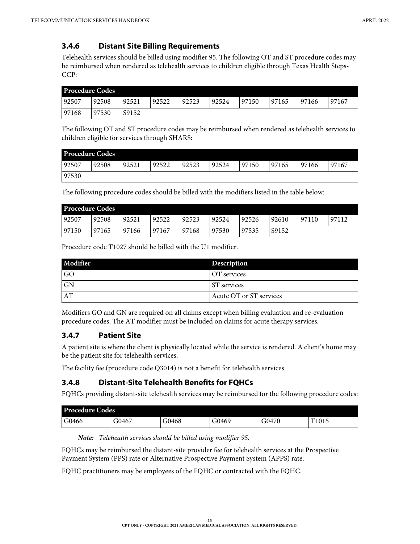## <span id="page-12-0"></span>**3.4.6 Distant Site Billing Requirements**

Telehealth services should be billed using modifier 95. The following OT and ST procedure codes may be reimbursed when rendered as telehealth services to children eligible through Texas Health Steps-CCP:

| <b>Procedure Codes</b> |       |       |       |       |       |       |       |       |       |
|------------------------|-------|-------|-------|-------|-------|-------|-------|-------|-------|
| 92507                  | 92508 | 92521 | 92522 | 92523 | 92524 | 97150 | 97165 | 97166 | 97167 |
| 97168                  | 97530 | S9152 |       |       |       |       |       |       |       |

The following OT and ST procedure codes may be reimbursed when rendered as telehealth services to children eligible for services through SHARS:

| <b>Procedure Codes</b> |       |       |       |       |       |       |       |       |       |
|------------------------|-------|-------|-------|-------|-------|-------|-------|-------|-------|
| 92507                  | 92508 | 92521 | 92522 | 92523 | 92524 | 97150 | 97165 | 97166 | 97167 |
| 97530                  |       |       |       |       |       |       |       |       |       |

The following procedure codes should be billed with the modifiers listed in the table below:

| <b>Procedure Codes</b> |       |       |       |       |       |       |       |       |       |
|------------------------|-------|-------|-------|-------|-------|-------|-------|-------|-------|
| 92507                  | 92508 | 92521 | 92522 | 92523 | 92524 | 92526 | 92610 | 97110 | 97112 |
| 97150                  | 97165 | 97166 | 97167 | 97168 | 97530 | 97535 | S9152 |       |       |

Procedure code T1027 should be billed with the U1 modifier.

| Modifier  | Description             |
|-----------|-------------------------|
| <b>GO</b> | OT services             |
| GN        | <b>ST</b> services      |
| AT        | Acute OT or ST services |

Modifiers GO and GN are required on all claims except when billing evaluation and re-evaluation procedure codes. The AT modifier must be included on claims for acute therapy services.

## <span id="page-12-1"></span>**3.4.7 Patient Site**

A patient site is where the client is physically located while the service is rendered. A client's home may be the patient site for telehealth services.

The facility fee (procedure code Q3014) is not a benefit for telehealth services.

#### <span id="page-12-2"></span>**3.4.8 Distant-Site Telehealth Benefits for FQHCs**

FQHCs providing distant-site telehealth services may be reimbursed for the following procedure codes:

| <b>Procedure Codes</b> |       |       |       |       |                   |  |
|------------------------|-------|-------|-------|-------|-------------------|--|
| G0466                  | 30467 | G0468 | G0469 | G0470 | T <sub>1015</sub> |  |

*Note:* Telehealth services should be billed using modifier 95.

FQHCs may be reimbursed the distant-site provider fee for telehealth services at the Prospective Payment System (PPS) rate or Alternative Prospective Payment System (APPS) rate.

FQHC practitioners may be employees of the FQHC or contracted with the FQHC.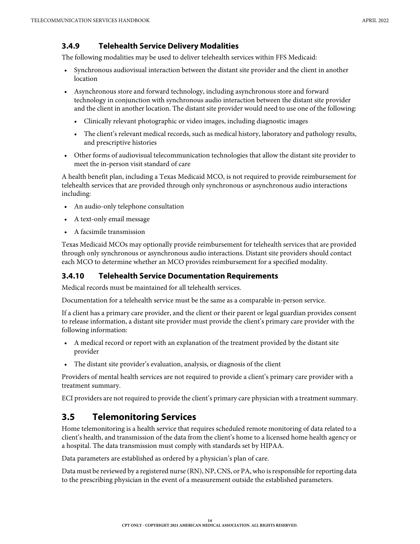#### <span id="page-13-0"></span>**3.4.9 Telehealth Service Delivery Modalities**

The following modalities may be used to deliver telehealth services within FFS Medicaid:

- Synchronous audiovisual interaction between the distant site provider and the client in another location
- Asynchronous store and forward technology, including asynchronous store and forward technology in conjunction with synchronous audio interaction between the distant site provider and the client in another location. The distant site provider would need to use one of the following:
	- Clinically relevant photographic or video images, including diagnostic images
	- The client's relevant medical records, such as medical history, laboratory and pathology results, and prescriptive histories
- Other forms of audiovisual telecommunication technologies that allow the distant site provider to meet the in-person visit standard of care

A health benefit plan, including a Texas Medicaid MCO, is not required to provide reimbursement for telehealth services that are provided through only synchronous or asynchronous audio interactions including:

- An audio-only telephone consultation
- A text-only email message
- A facsimile transmission

Texas Medicaid MCOs may optionally provide reimbursement for telehealth services that are provided through only synchronous or asynchronous audio interactions. Distant site providers should contact each MCO to determine whether an MCO provides reimbursement for a specified modality.

#### <span id="page-13-1"></span>**3.4.10 Telehealth Service Documentation Requirements**

Medical records must be maintained for all telehealth services.

Documentation for a telehealth service must be the same as a comparable in-person service.

If a client has a primary care provider, and the client or their parent or legal guardian provides consent to release information, a distant site provider must provide the client's primary care provider with the following information:

- A medical record or report with an explanation of the treatment provided by the distant site provider
- The distant site provider's evaluation, analysis, or diagnosis of the client

Providers of mental health services are not required to provide a client's primary care provider with a treatment summary.

ECI providers are not required to provide the client's primary care physician with a treatment summary.

## <span id="page-13-2"></span>**3.5 Telemonitoring Services**

Home telemonitoring is a health service that requires scheduled remote monitoring of data related to a client's health, and transmission of the data from the client's home to a licensed home health agency or a hospital. The data transmission must comply with standards set by HIPAA.

Data parameters are established as ordered by a physician's plan of care.

Data must be reviewed by a registered nurse (RN), NP, CNS, or PA, who is responsible for reporting data to the prescribing physician in the event of a measurement outside the established parameters.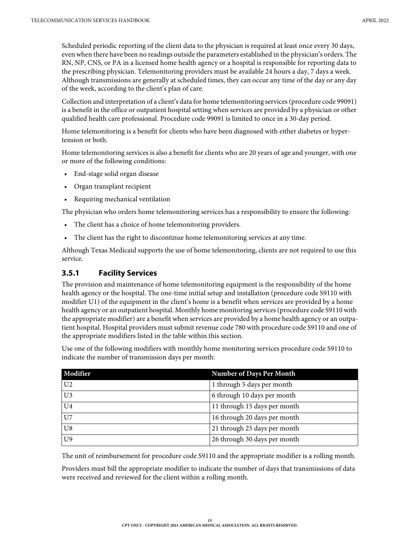Scheduled periodic reporting of the client data to the physician is required at least once every 30 days, even when there have been no readings outside the parameters established in the physician's orders. The RN, NP, CNS, or PA in a licensed home health agency or a hospital is responsible for reporting data to the prescribing physician. Telemonitoring providers must be available 24 hours a day, 7 days a week. Although transmissions are generally at scheduled times, they can occur any time of the day or any day of the week, according to the client's plan of care.

Collection and interpretation of a client's data for home telemonitoring services (procedure code 99091) is a benefit in the office or outpatient hospital setting when services are provided by a physician or other qualified health care professional. Procedure code 99091 is limited to once in a 30-day period.

Home telemonitoring is a benefit for clients who have been diagnosed with either diabetes or hypertension or both.

Home telemonitoring services is also a benefit for clients who are 20 years of age and younger, with one or more of the following conditions:

- End-stage solid organ disease
- Organ transplant recipient
- Requiring mechanical ventilation

The physician who orders home telemonitoring services has a responsibility to ensure the following:

- The client has a choice of home telemonitoring providers.
- The client has the right to discontinue home telemonitoring services at any time.

Although Texas Medicaid supports the use of home telemonitoring, clients are not required to use this service.

#### <span id="page-14-0"></span>**3.5.1 Facility Services**

The provision and maintenance of home telemonitoring equipment is the responsibility of the home health agency or the hospital. The one-time initial setup and installation (procedure code S9110 with modifier U1) of the equipment in the client's home is a benefit when services are provided by a home health agency or an outpatient hospital. Monthly home monitoring services (procedure code S9110 with the appropriate modifier) are a benefit when services are provided by a home health agency or an outpatient hospital. Hospital providers must submit revenue code 780 with procedure code S9110 and one of the appropriate modifiers listed in the table within this section.

Use one of the following modifiers with monthly home monitoring services procedure code S9110 to indicate the number of transmission days per month:

| Modifier       | <b>Number of Days Per Month</b> |
|----------------|---------------------------------|
| U <sub>2</sub> | 1 through 5 days per month      |
| U <sub>3</sub> | 6 through 10 days per month     |
| U <sub>4</sub> | 11 through 15 days per month    |
| $U$ 7          | 16 through 20 days per month    |
| U8             | 21 through 25 days per month    |
| U <sup>9</sup> | 26 through 30 days per month    |

The unit of reimbursement for procedure code S9110 and the appropriate modifier is a rolling month.

Providers must bill the appropriate modifier to indicate the number of days that transmissions of data were received and reviewed for the client within a rolling month.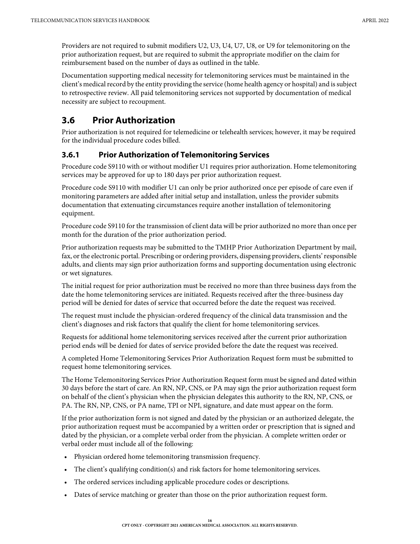Providers are not required to submit modifiers U2, U3, U4, U7, U8, or U9 for telemonitoring on the prior authorization request, but are required to submit the appropriate modifier on the claim for reimbursement based on the number of days as outlined in the table.

Documentation supporting medical necessity for telemonitoring services must be maintained in the client's medical record by the entity providing the service (home health agency or hospital) and is subject to retrospective review. All paid telemonitoring services not supported by documentation of medical necessity are subject to recoupment.

## <span id="page-15-0"></span>**3.6 Prior Authorization**

Prior authorization is not required for telemedicine or telehealth services; however, it may be required for the individual procedure codes billed.

#### <span id="page-15-1"></span>**3.6.1 Prior Authorization of Telemonitoring Services**

Procedure code S9110 with or without modifier U1 requires prior authorization. Home telemonitoring services may be approved for up to 180 days per prior authorization request.

Procedure code S9110 with modifier U1 can only be prior authorized once per episode of care even if monitoring parameters are added after initial setup and installation, unless the provider submits documentation that extenuating circumstances require another installation of telemonitoring equipment.

Procedure code S9110 for the transmission of client data will be prior authorized no more than once per month for the duration of the prior authorization period.

Prior authorization requests may be submitted to the TMHP Prior Authorization Department by mail, fax, or the electronic portal. Prescribing or ordering providers, dispensing providers, clients' responsible adults, and clients may sign prior authorization forms and supporting documentation using electronic or wet signatures.

The initial request for prior authorization must be received no more than three business days from the date the home telemonitoring services are initiated. Requests received after the three-business day period will be denied for dates of service that occurred before the date the request was received.

The request must include the physician-ordered frequency of the clinical data transmission and the client's diagnoses and risk factors that qualify the client for home telemonitoring services.

Requests for additional home telemonitoring services received after the current prior authorization period ends will be denied for dates of service provided before the date the request was received.

A completed Home Telemonitoring Services Prior Authorization Request form must be submitted to request home telemonitoring services.

The Home Telemonitoring Services Prior Authorization Request form must be signed and dated within 30 days before the start of care. An RN, NP, CNS, or PA may sign the prior authorization request form on behalf of the client's physician when the physician delegates this authority to the RN, NP, CNS, or PA. The RN, NP, CNS, or PA name, TPI or NPI, signature, and date must appear on the form.

If the prior authorization form is not signed and dated by the physician or an authorized delegate, the prior authorization request must be accompanied by a written order or prescription that is signed and dated by the physician, or a complete verbal order from the physician. A complete written order or verbal order must include all of the following:

- Physician ordered home telemonitoring transmission frequency.
- The client's qualifying condition(s) and risk factors for home telemonitoring services.
- The ordered services including applicable procedure codes or descriptions.
- Dates of service matching or greater than those on the prior authorization request form.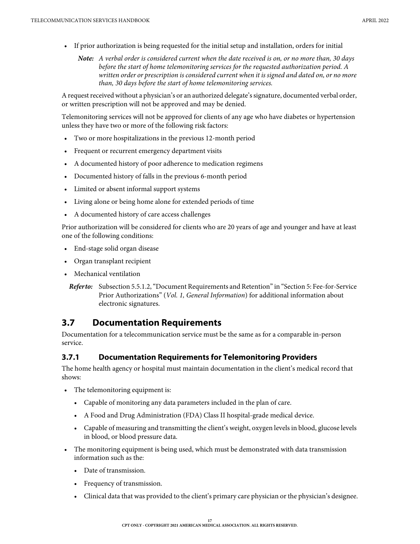- If prior authorization is being requested for the initial setup and installation, orders for initial
	- *Note:* A verbal order is considered current when the date received is on, or no more than, 30 days before the start of home telemonitoring services for the requested authorization period. A written order or prescription is considered current when it is signed and dated on, or no more than, 30 days before the start of home telemonitoring services.

A request received without a physician's or an authorized delegate's signature, documented verbal order, or written prescription will not be approved and may be denied.

Telemonitoring services will not be approved for clients of any age who have diabetes or hypertension unless they have two or more of the following risk factors:

- Two or more hospitalizations in the previous 12-month period
- Frequent or recurrent emergency department visits
- A documented history of poor adherence to medication regimens
- Documented history of falls in the previous 6-month period
- Limited or absent informal support systems
- Living alone or being home alone for extended periods of time
- A documented history of care access challenges

Prior authorization will be considered for clients who are 20 years of age and younger and have at least one of the following conditions:

- End-stage solid organ disease
- Organ transplant recipient
- Mechanical ventilation

*Refer to:* Subsection 5.5.1.2, "Document Requirements and Retention" in "Section 5: Fee-for-Service Prior Authorizations" (Vol. 1, General Information) for additional information about electronic signatures.

## <span id="page-16-0"></span>**3.7 Documentation Requirements**

Documentation for a telecommunication service must be the same as for a comparable in-person service.

#### <span id="page-16-1"></span>**3.7.1 Documentation Requirements for Telemonitoring Providers**

The home health agency or hospital must maintain documentation in the client's medical record that shows:

- The telemonitoring equipment is:
	- Capable of monitoring any data parameters included in the plan of care.
	- A Food and Drug Administration (FDA) Class II hospital-grade medical device.
	- Capable of measuring and transmitting the client's weight, oxygen levels in blood, glucose levels in blood, or blood pressure data.
- The monitoring equipment is being used, which must be demonstrated with data transmission information such as the:
	- Date of transmission.
	- Frequency of transmission.
	- Clinical data that was provided to the client's primary care physician or the physician's designee.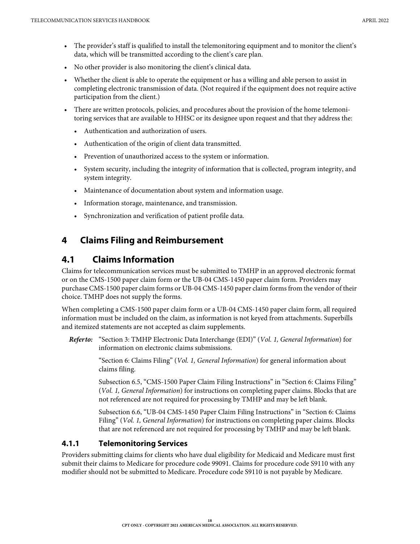- The provider's staff is qualified to install the telemonitoring equipment and to monitor the client's data, which will be transmitted according to the client's care plan.
- No other provider is also monitoring the client's clinical data.
- Whether the client is able to operate the equipment or has a willing and able person to assist in completing electronic transmission of data. (Not required if the equipment does not require active participation from the client.)
- There are written protocols, policies, and procedures about the provision of the home telemonitoring services that are available to HHSC or its designee upon request and that they address the:
	- Authentication and authorization of users.
	- Authentication of the origin of client data transmitted.
	- Prevention of unauthorized access to the system or information.
	- System security, including the integrity of information that is collected, program integrity, and system integrity.
	- Maintenance of documentation about system and information usage.
	- Information storage, maintenance, and transmission.
	- Synchronization and verification of patient profile data.

## <span id="page-17-0"></span>**4 Claims Filing and Reimbursement**

## <span id="page-17-1"></span>**4.1 Claims Information**

Claims for telecommunication services must be submitted to TMHP in an approved electronic format or on the CMS-1500 paper claim form or the UB-04 CMS-1450 paper claim form. Providers may purchase CMS-1500 paper claim forms or UB-04 CMS-1450 paper claim forms from the vendor of their choice. TMHP does not supply the forms.

When completing a CMS-1500 paper claim form or a UB-04 CMS-1450 paper claim form, all required information must be included on the claim, as information is not keyed from attachments. Superbills and itemized statements are not accepted as claim supplements.

*Refer to:* "Section 3: TMHP Electronic Data Interchange (EDI)" (Vol. 1, General Information) for information on electronic claims submissions.

> "Section 6: Claims Filing" (Vol. 1, General Information) for general information about claims filing.

Subsection 6.5, "CMS-1500 Paper Claim Filing Instructions" in "Section 6: Claims Filing" (Vol. 1, General Information) for instructions on completing paper claims. Blocks that are not referenced are not required for processing by TMHP and may be left blank.

Subsection 6.6, "UB-04 CMS-1450 Paper Claim Filing Instructions" in "Section 6: Claims Filing" (*Vol. 1, General Information*) for instructions on completing paper claims. Blocks that are not referenced are not required for processing by TMHP and may be left blank.

#### <span id="page-17-2"></span>**4.1.1 Telemonitoring Services**

Providers submitting claims for clients who have dual eligibility for Medicaid and Medicare must first submit their claims to Medicare for procedure code 99091. Claims for procedure code S9110 with any modifier should not be submitted to Medicare. Procedure code S9110 is not payable by Medicare.